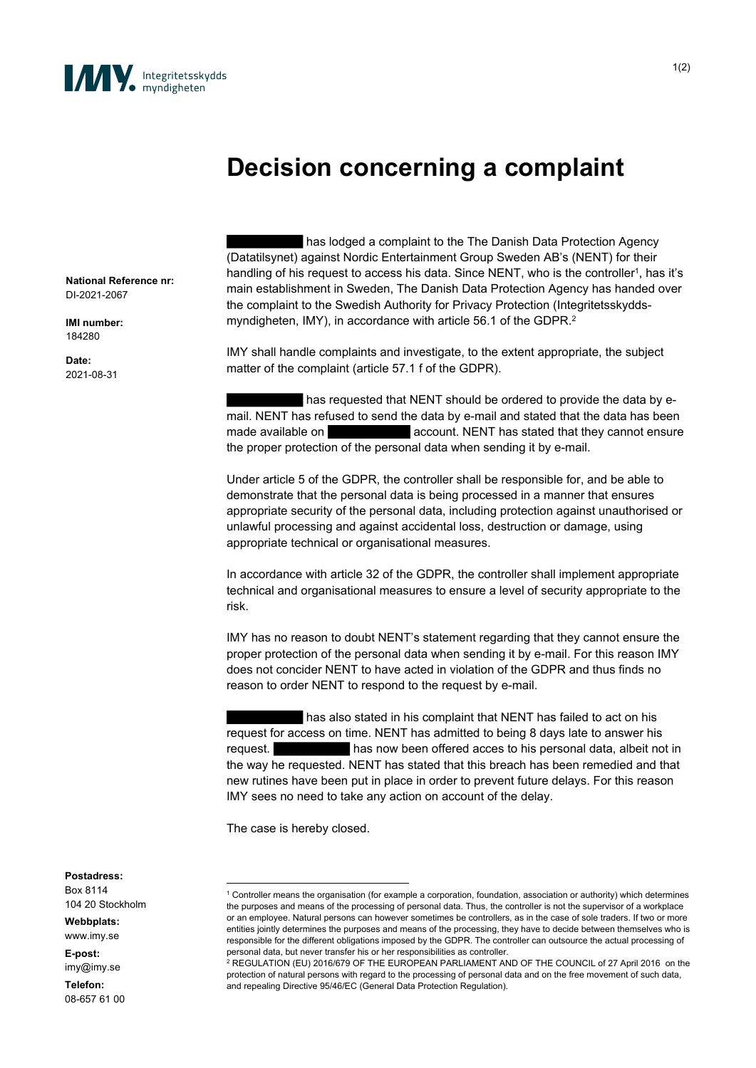

## **Decision concerning a complaint**

**National Reference nr:** DI-2021-2067

**IMI number:** 184280

**Date:** 2021-08-31

has lodged a complaint to the The Danish Data Protection Agency (Datatilsynet) against Nordic Entertainment Group Sweden AB's (NENT) for their handling of his request to access his data. Since NENT, who is the controller<sup>1</sup>, has it's main establishment in Sweden, The Danish Data Protection Agency has handed over the complaint to the Swedish Authority for Privacy Protection (Integritetsskyddsmyndigheten, IMY), in accordance with article 56.1 of the GDPR.<sup>2</sup>

IMY shall handle complaints and investigate, to the extent appropriate, the subject matter of the complaint (article 57.1 f of the GDPR).

has requested that NENT should be ordered to provide the data by email. NENT has refused to send the data by e-mail and stated that the data has been made available on **account.** NENT has stated that they cannot ensure the proper protection of the personal data when sending it by e-mail.

Under article 5 of the GDPR, the controller shall be responsible for, and be able to demonstrate that the personal data is being processed in a manner that ensures appropriate security of the personal data, including protection against unauthorised or unlawful processing and against accidental loss, destruction or damage, using appropriate technical or organisational measures.

In accordance with article 32 of the GDPR, the controller shall implement appropriate technical and organisational measures to ensure a level of security appropriate to the risk.

IMY has no reason to doubt NENT's statement regarding that they cannot ensure the proper protection of the personal data when sending it by e-mail. For this reason IMY does not concider NENT to have acted in violation of the GDPR and thus finds no reason to order NENT to respond to the request by e-mail.

has also stated in his complaint that NENT has failed to act on his request for access on time. NENT has admitted to being 8 days late to answer his request. has now been offered acces to his personal data, albeit not in the way he requested. NENT has stated that this breach has been remedied and that new rutines have been put in place in order to prevent future delays. For this reason IMY sees no need to take any action on account of the delay.

The case is hereby closed.

**Postadress:** Box 8114

104 20 Stockholm

**Webbplats:** www.imy.se

**E-post:**

imy@imy.se **Telefon:**

08-657 61 00

<sup>1</sup> Controller means the organisation (for example a corporation, foundation, association or authority) which determines the purposes and means of the processing of personal data. Thus, the controller is not the supervisor of a workplace or an employee. Natural persons can however sometimes be controllers, as in the case of sole traders. If two or more entities jointly determines the purposes and means of the processing, they have to decide between themselves who is responsible for the different obligations imposed by the GDPR. The controller can outsource the actual processing of personal data, but never transfer his or her responsibilities as controller.

<sup>2</sup> REGULATION (EU) 2016/679 OF THE EUROPEAN PARLIAMENT AND OF THE COUNCIL of 27 April 2016 on the protection of natural persons with regard to the processing of personal data and on the free movement of such data, and repealing Directive 95/46/EC (General Data Protection Regulation).